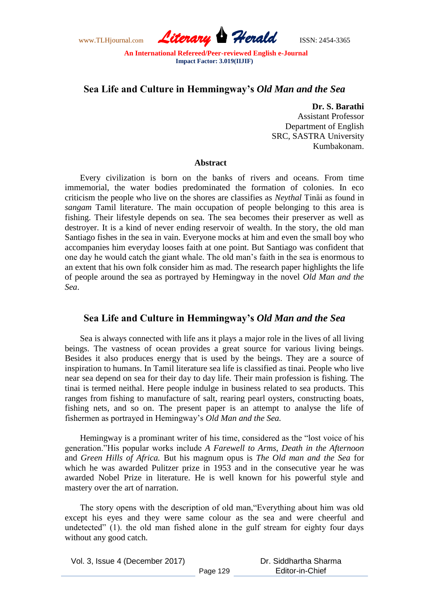www.TLHjournal.com *Literary Herald*ISSN: 2454-3365

## **Sea Life and Culture in Hemmingway's** *Old Man and the Sea*

**Dr. S. Barathi**

Assistant Professor Department of English SRC, SASTRA University Kumbakonam.

## **Abstract**

Every civilization is born on the banks of rivers and oceans. From time immemorial, the water bodies predominated the formation of colonies. In eco criticism the people who live on the shores are classifies as *Neythal* Tinȁi as found in *sangam* Tamil literature. The main occupation of people belonging to this area is fishing. Their lifestyle depends on sea. The sea becomes their preserver as well as destroyer. It is a kind of never ending reservoir of wealth. In the story, the old man Santiago fishes in the sea in vain. Everyone mocks at him and even the small boy who accompanies him everyday looses faith at one point. But Santiago was confident that one day he would catch the giant whale. The old man"s faith in the sea is enormous to an extent that his own folk consider him as mad. The research paper highlights the life of people around the sea as portrayed by Hemingway in the novel *Old Man and the Sea*.

## **Sea Life and Culture in Hemmingway's** *Old Man and the Sea*

Sea is always connected with life ans it plays a major role in the lives of all living beings. The vastness of ocean provides a great source for various living beings. Besides it also produces energy that is used by the beings. They are a source of inspiration to humans. In Tamil literature sea life is classified as tinai. People who live near sea depend on sea for their day to day life. Their main profession is fishing. The tinai is termed neithal. Here people indulge in business related to sea products. This ranges from fishing to manufacture of salt, rearing pearl oysters, constructing boats, fishing nets, and so on. The present paper is an attempt to analyse the life of fishermen as portrayed in Hemingway"s *Old Man and the Sea.*

Hemingway is a prominant writer of his time, considered as the "lost voice of his generation."His popular works include *A Farewell to Arms*, *Death in the Afternoon*  and *Green Hills of Africa.* But his magnum opus is *The Old man and the Sea* for which he was awarded Pulitzer prize in 1953 and in the consecutive year he was awarded Nobel Prize in literature. He is well known for his powerful style and mastery over the art of narration.

The story opens with the description of old man,"Everything about him was old except his eyes and they were same colour as the sea and were cheerful and undetected" (1). the old man fished alone in the gulf stream for eighty four days without any good catch.

Vol. 3, Issue 4 (December 2017) Dr. Siddhartha Sharma Editor-in-Chief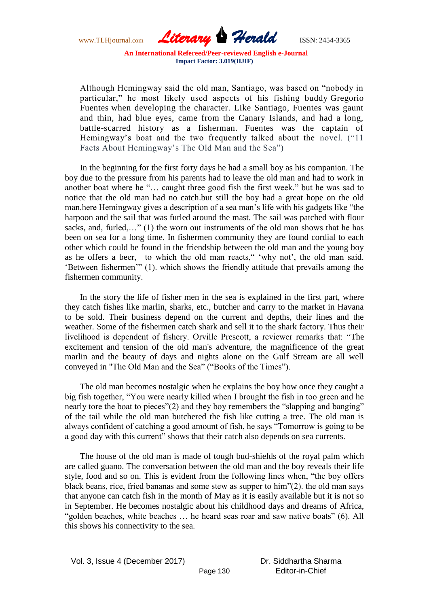www.TLHjournal.com *Literary Herald*ISSN: 2454-3365

Although Hemingway said the old man, Santiago, was based on "nobody in particular," he most likely used aspects of his fishing buddy [Gregorio](http://www.telegraph.co.uk/news/obituaries/1381721/Gregorio-Fuentes.html)  [Fuentes](http://www.telegraph.co.uk/news/obituaries/1381721/Gregorio-Fuentes.html) when developing the character. Like Santiago, Fuentes was gaunt and thin, had blue eyes, came from the Canary Islands, and had a long, battle-scarred history as a fisherman. Fuentes was the captain of Hemingway's boat and the two frequently talked about the novel. ("11 Facts About Hemingway"s The Old Man and the Sea")

In the beginning for the first forty days he had a small boy as his companion. The boy due to the pressure from his parents had to leave the old man and had to work in another boat where he "… caught three good fish the first week." but he was sad to notice that the old man had no catch.but still the boy had a great hope on the old man.here Hemingway gives a description of a sea man"s life with his gadgets like "the harpoon and the sail that was furled around the mast. The sail was patched with flour sacks, and, furled,..." (1) the worn out instruments of the old man shows that he has been on sea for a long time. In fishermen community they are found cordial to each other which could be found in the friendship between the old man and the young boy as he offers a beer, to which the old man reacts," 'why not', the old man said. "Between fishermen"" (1). which shows the friendly attitude that prevails among the fishermen community.

In the story the life of fisher men in the sea is explained in the first part, where they catch fishes like marlin, sharks, etc., butcher and carry to the market in Havana to be sold. Their business depend on the current and depths, their lines and the weather. Some of the fishermen catch shark and sell it to the shark factory. Thus their livelihood is dependent of fishery. Orville Prescott, a reviewer remarks that: "The excitement and tension of the old man's adventure, the magnificence of the great marlin and the beauty of days and nights alone on the Gulf Stream are all well conveyed in "The Old Man and the Sea" ("Books of the Times").

The old man becomes nostalgic when he explains the boy how once they caught a big fish together, "You were nearly killed when I brought the fish in too green and he nearly tore the boat to pieces"(2) and they boy remembers the "slapping and banging" of the tail while the old man butchered the fish like cutting a tree. The old man is always confident of catching a good amount of fish, he says "Tomorrow is going to be a good day with this current" shows that their catch also depends on sea currents.

The house of the old man is made of tough bud-shields of the royal palm which are called guano. The conversation between the old man and the boy reveals their life style, food and so on. This is evident from the following lines when, "the boy offers black beans, rice, fried bananas and some stew as supper to him"(2). the old man says that anyone can catch fish in the month of May as it is easily available but it is not so in September. He becomes nostalgic about his childhood days and dreams of Africa, "golden beaches, white beaches … he heard seas roar and saw native boats" (6). All this shows his connectivity to the sea.

Vol. 3, Issue 4 (December 2017) Page 130 Dr. Siddhartha Sharma Editor-in-Chief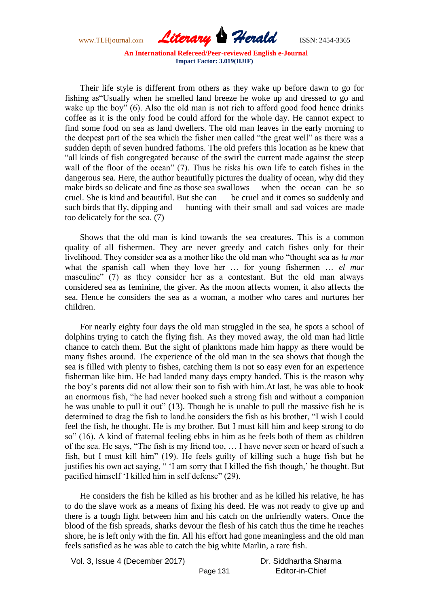www.TLHjournal.com *Literary Herald*ISSN: 2454-3365

Their life style is different from others as they wake up before dawn to go for fishing as"Usually when he smelled land breeze he woke up and dressed to go and wake up the boy" (6). Also the old man is not rich to afford good food hence drinks coffee as it is the only food he could afford for the whole day. He cannot expect to find some food on sea as land dwellers. The old man leaves in the early morning to the deepest part of the sea which the fisher men called "the great well" as there was a sudden depth of seven hundred fathoms. The old prefers this location as he knew that "all kinds of fish congregated because of the swirl the current made against the steep wall of the floor of the ocean" (7). Thus he risks his own life to catch fishes in the dangerous sea. Here, the author beautifully pictures the duality of ocean, why did they make birds so delicate and fine as those sea swallows when the ocean can be so cruel. She is kind and beautiful. But she can be cruel and it comes so suddenly and such birds that fly, dipping and hunting with their small and sad voices are made too delicately for the sea. (7)

Shows that the old man is kind towards the sea creatures. This is a common quality of all fishermen. They are never greedy and catch fishes only for their livelihood. They consider sea as a mother like the old man who "thought sea as *la mar* what the spanish call when they love her … for young fishermen … *el mar*  masculine" (7) as they consider her as a contestant. But the old man always considered sea as feminine, the giver. As the moon affects women, it also affects the sea. Hence he considers the sea as a woman, a mother who cares and nurtures her children.

For nearly eighty four days the old man struggled in the sea, he spots a school of dolphins trying to catch the flying fish. As they moved away, the old man had little chance to catch them. But the sight of planktons made him happy as there would be many fishes around. The experience of the old man in the sea shows that though the sea is filled with plenty to fishes, catching them is not so easy even for an experience fisherman like him. He had landed many days empty handed. This is the reason why the boy"s parents did not allow their son to fish with him.At last, he was able to hook an enormous fish, "he had never hooked such a strong fish and without a companion he was unable to pull it out" (13). Though he is unable to pull the massive fish he is determined to drag the fish to land.he considers the fish as his brother, "I wish I could feel the fish, he thought. He is my brother. But I must kill him and keep strong to do so" (16). A kind of fraternal feeling ebbs in him as he feels both of them as children of the sea. He says, "The fish is my friend too, … I have never seen or heard of such a fish, but I must kill him" (19). He feels guilty of killing such a huge fish but he justifies his own act saying, " 'I am sorry that I killed the fish though,' he thought. But pacified himself "I killed him in self defense" (29).

He considers the fish he killed as his brother and as he killed his relative, he has to do the slave work as a means of fixing his deed. He was not ready to give up and there is a tough fight between him and his catch on the unfriendly waters. Once the blood of the fish spreads, sharks devour the flesh of his catch thus the time he reaches shore, he is left only with the fin. All his effort had gone meaningless and the old man feels satisfied as he was able to catch the big white Marlin, a rare fish.

| Vol. 3, Issue 4 (December 2017) |          | Dr. Siddhartha Sharma |
|---------------------------------|----------|-----------------------|
|                                 | Page 131 | Editor-in-Chief       |